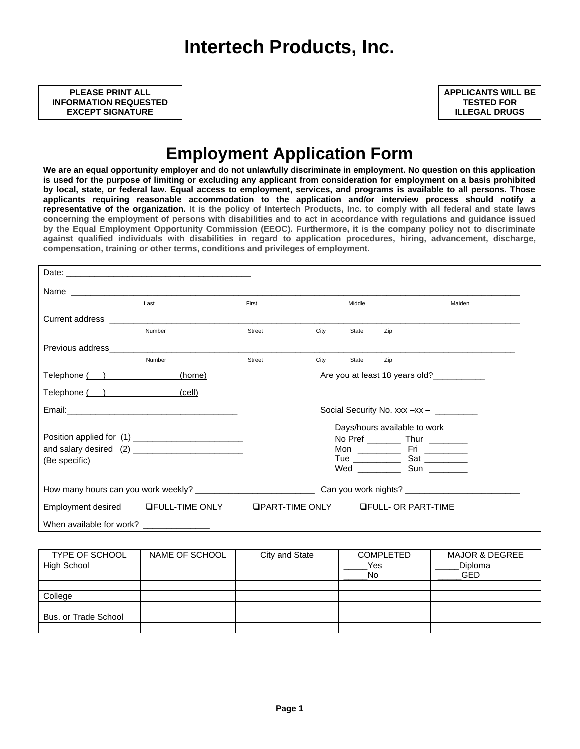**PLEASE PRINT ALL INFORMATION REQUESTED EXCEPT SIGNATURE**

**APPLICANTS WILL BE TESTED FOR ILLEGAL DRUGS**

## **Employment Application Form**

**We are an equal opportunity employer and do not unlawfully discriminate in employment. No question on this application is used for the purpose of limiting or excluding any applicant from consideration for employment on a basis prohibited by local, state, or federal law. Equal access to employment, services, and programs is available to all persons. Those applicants requiring reasonable accommodation to the application and/or interview process should notify a representative of the organization. It is the policy of Intertech Products, Inc. to comply with all federal and state laws concerning the employment of persons with disabilities and to act in accordance with regulations and guidance issued by the Equal Employment Opportunity Commission (EEOC). Furthermore, it is the company policy not to discriminate against qualified individuals with disabilities in regard to application procedures, hiring, advancement, discharge, compensation, training or other terms, conditions and privileges of employment.**

| Last                                                                                                                                                                                                                           | First  |                 | Middle |                                          | Maiden |
|--------------------------------------------------------------------------------------------------------------------------------------------------------------------------------------------------------------------------------|--------|-----------------|--------|------------------------------------------|--------|
|                                                                                                                                                                                                                                |        |                 |        |                                          |        |
| Number                                                                                                                                                                                                                         | Street | City            | State  | Zip                                      |        |
| Previous address experiences and the set of the set of the set of the set of the set of the set of the set of the set of the set of the set of the set of the set of the set of the set of the set of the set of the set of th |        |                 |        |                                          |        |
| Number                                                                                                                                                                                                                         | Street | City            | State  | Zip                                      |        |
| Telephone ( )                                                                                                                                                                                                                  | (home) |                 |        | Are you at least 18 years old?           |        |
| Telephone ( )                                                                                                                                                                                                                  | (cell) |                 |        |                                          |        |
|                                                                                                                                                                                                                                |        |                 |        | Social Security No. $xxx - xx -$         |        |
| Days/hours available to work                                                                                                                                                                                                   |        |                 |        |                                          |        |
|                                                                                                                                                                                                                                |        |                 |        | No Pref ______________ Thur ____________ |        |
| (Be specific)                                                                                                                                                                                                                  |        |                 |        |                                          |        |
|                                                                                                                                                                                                                                |        |                 |        | Wed _____________ Sun _________          |        |
| How many hours can you work weekly? ________________________________                                                                                                                                                           |        |                 |        |                                          |        |
| Employment desired LFULL-TIME ONLY                                                                                                                                                                                             |        | □PART-TIME ONLY |        | <b>QFULL- OR PART-TIME</b>               |        |
| When available for work? _______________                                                                                                                                                                                       |        |                 |        |                                          |        |

| <b>TYPE OF SCHOOL</b> | NAME OF SCHOOL | City and State | <b>COMPLETED</b> | <b>MAJOR &amp; DEGREE</b> |
|-----------------------|----------------|----------------|------------------|---------------------------|
| High School           |                |                | Yes              | Diploma                   |
|                       |                |                | No.              | GED                       |
|                       |                |                |                  |                           |
| College               |                |                |                  |                           |
|                       |                |                |                  |                           |
| Bus, or Trade School  |                |                |                  |                           |
|                       |                |                |                  |                           |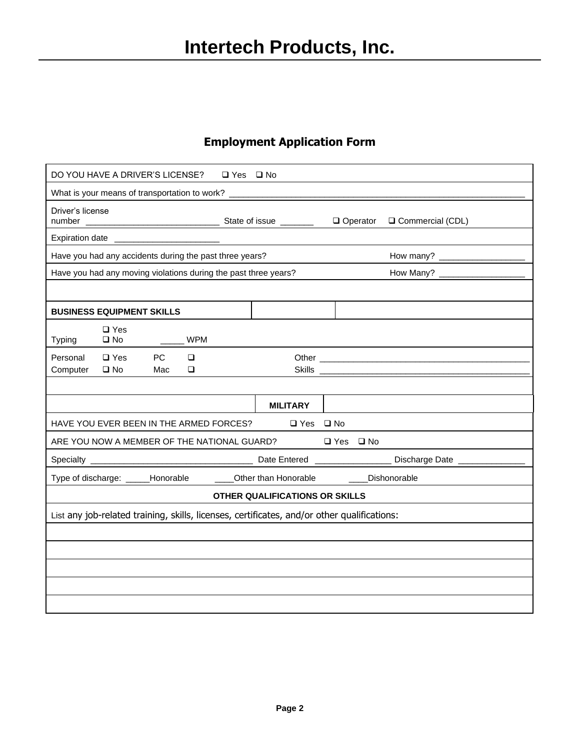### **Employment Application Form**

| DO YOU HAVE A DRIVER'S LICENSE?<br>□ Yes □ No                                                                                |  |  |  |  |  |
|------------------------------------------------------------------------------------------------------------------------------|--|--|--|--|--|
|                                                                                                                              |  |  |  |  |  |
| Driver's license<br>$\Box$ Operator $\Box$ Commercial (CDL)                                                                  |  |  |  |  |  |
| Expiration date <b>container and the container and the container and container and container and container and container</b> |  |  |  |  |  |
| Have you had any accidents during the past three years?                                                                      |  |  |  |  |  |
| Have you had any moving violations during the past three years?                                                              |  |  |  |  |  |
|                                                                                                                              |  |  |  |  |  |
| <b>BUSINESS EQUIPMENT SKILLS</b>                                                                                             |  |  |  |  |  |
| $\square$ Yes<br>$\square$ No<br><b>WPM</b><br><b>Typing</b>                                                                 |  |  |  |  |  |
| PC<br>Personal<br>$\square$ Yes<br>$\Box$<br>Computer<br>$\square$ No<br>Mac<br>$\Box$                                       |  |  |  |  |  |
|                                                                                                                              |  |  |  |  |  |
| <b>MILITARY</b>                                                                                                              |  |  |  |  |  |
| HAVE YOU EVER BEEN IN THE ARMED FORCES?<br>$\Box$ Yes $\Box$ No                                                              |  |  |  |  |  |
| ARE YOU NOW A MEMBER OF THE NATIONAL GUARD?<br>$\Box$ Yes $\Box$ No                                                          |  |  |  |  |  |
|                                                                                                                              |  |  |  |  |  |
| Type of discharge: _____Honorable _______Other than Honorable ______<br>Dishonorable                                         |  |  |  |  |  |
| OTHER QUALIFICATIONS OR SKILLS                                                                                               |  |  |  |  |  |
| List any job-related training, skills, licenses, certificates, and/or other qualifications:                                  |  |  |  |  |  |
|                                                                                                                              |  |  |  |  |  |
|                                                                                                                              |  |  |  |  |  |
|                                                                                                                              |  |  |  |  |  |
|                                                                                                                              |  |  |  |  |  |
|                                                                                                                              |  |  |  |  |  |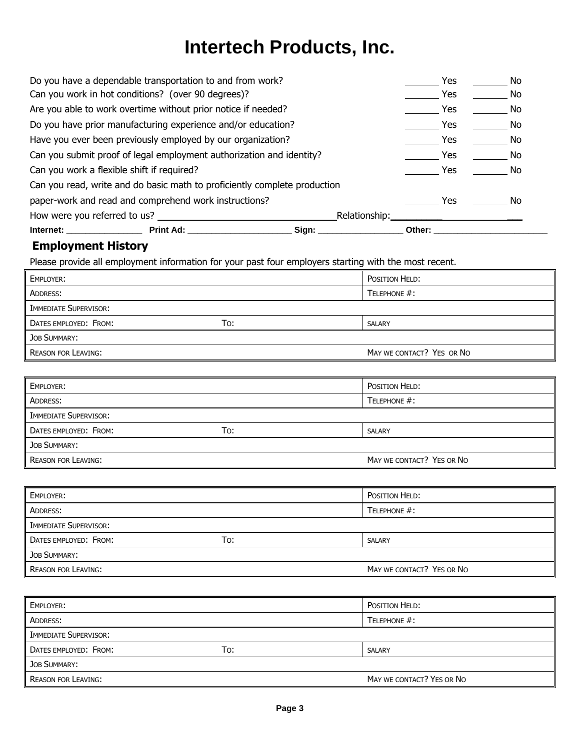# **Intertech Products, Inc.**

| Internet: __________________ | Print Ad:                                                                 | Sign: | Other:        |     |
|------------------------------|---------------------------------------------------------------------------|-------|---------------|-----|
|                              | How were you referred to us?                                              |       | Relationship: |     |
|                              | paper-work and read and comprehend work instructions?                     |       | Yes           | No  |
|                              | Can you read, write and do basic math to proficiently complete production |       |               |     |
|                              | Can you work a flexible shift if required?                                |       | Yes           | No. |
|                              | Can you submit proof of legal employment authorization and identity?      |       | Yes           | No. |
|                              | Have you ever been previously employed by our organization?               |       | <b>Yes</b>    | No. |
|                              | Do you have prior manufacturing experience and/or education?              |       | Yes           | No  |
|                              | Are you able to work overtime without prior notice if needed?             |       | Yes           | No. |
|                              | Can you work in hot conditions? (over 90 degrees)?                        |       | Yes           | No. |
|                              | Do you have a dependable transportation to and from work?                 |       | Yes           | No  |

### **Employment History**

Please provide all employment information for your past four employers starting with the most recent.

| EMPLOYER:                  |     | POSITION HELD:            |
|----------------------------|-----|---------------------------|
| ADDRESS:                   |     | TELEPHONE $#$ :           |
| IMMEDIATE SUPERVISOR:      |     |                           |
| DATES EMPLOYED: FROM:      | To: | <b>SALARY</b>             |
| JOB SUMMARY:               |     |                           |
| <b>REASON FOR LEAVING:</b> |     | MAY WE CONTACT? YES OR NO |

| <b>EMPLOYER:</b>           |     | POSITION HELD:            |
|----------------------------|-----|---------------------------|
| <b>ADDRESS:</b>            |     | TELEPHONE #:              |
| IMMEDIATE SUPERVISOR:      |     |                           |
| DATES EMPLOYED: FROM:      | To: | <b>SALARY</b>             |
| JOB SUMMARY:               |     |                           |
| <b>REASON FOR LEAVING:</b> |     | MAY WE CONTACT? YES OR NO |

| EMPLOYER:                  |     | POSITION HELD:            |
|----------------------------|-----|---------------------------|
| ADDRESS:                   |     | TELEPHONE $#$ :           |
| IMMEDIATE SUPERVISOR:      |     |                           |
| DATES EMPLOYED: FROM:      | To: | <b>SALARY</b>             |
| JOB SUMMARY:               |     |                           |
| <b>REASON FOR LEAVING:</b> |     | MAY WE CONTACT? YES OR NO |

| <b>EMPLOYER:</b>           |     | POSITION HELD:            |
|----------------------------|-----|---------------------------|
| <b>ADDRESS:</b>            |     | TELEPHONE $#$ :           |
| IMMEDIATE SUPERVISOR:      |     |                           |
| DATES EMPLOYED: FROM:      | To: | <b>SALARY</b>             |
| JOB SUMMARY:               |     |                           |
| <b>REASON FOR LEAVING:</b> |     | MAY WE CONTACT? YES OR NO |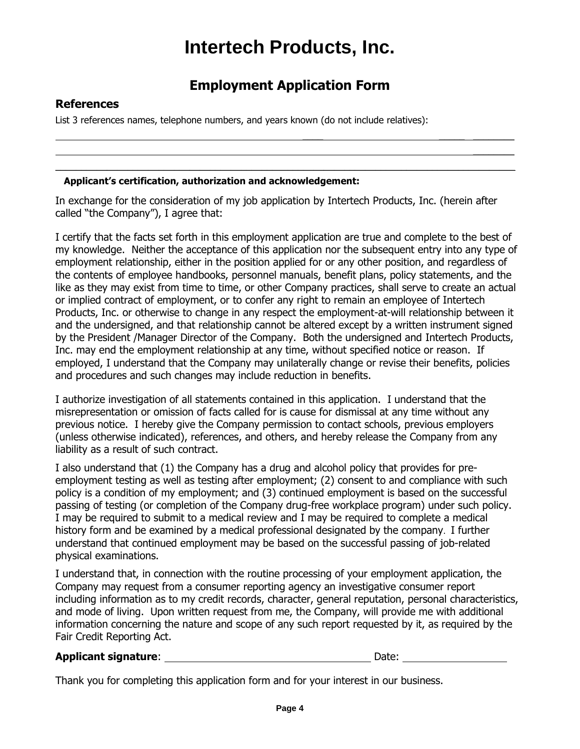# **Intertech Products, Inc.**

### **Employment Application Form**

### **References**

List 3 references names, telephone numbers, and years known (do not include relatives):

#### **Applicant's certification, authorization and acknowledgement:**

In exchange for the consideration of my job application by Intertech Products, Inc. (herein after called "the Company"), I agree that:

 $\_$  , and the state of the state of the state of the state of the state of the state of the state of the state of the state of the state of the state of the state of the state of the state of the state of the state of the

I certify that the facts set forth in this employment application are true and complete to the best of my knowledge. Neither the acceptance of this application nor the subsequent entry into any type of employment relationship, either in the position applied for or any other position, and regardless of the contents of employee handbooks, personnel manuals, benefit plans, policy statements, and the like as they may exist from time to time, or other Company practices, shall serve to create an actual or implied contract of employment, or to confer any right to remain an employee of Intertech Products, Inc. or otherwise to change in any respect the employment-at-will relationship between it and the undersigned, and that relationship cannot be altered except by a written instrument signed by the President /Manager Director of the Company. Both the undersigned and Intertech Products, Inc. may end the employment relationship at any time, without specified notice or reason. If employed, I understand that the Company may unilaterally change or revise their benefits, policies and procedures and such changes may include reduction in benefits.

I authorize investigation of all statements contained in this application. I understand that the misrepresentation or omission of facts called for is cause for dismissal at any time without any previous notice. I hereby give the Company permission to contact schools, previous employers (unless otherwise indicated), references, and others, and hereby release the Company from any liability as a result of such contract.

I also understand that (1) the Company has a drug and alcohol policy that provides for preemployment testing as well as testing after employment; (2) consent to and compliance with such policy is a condition of my employment; and (3) continued employment is based on the successful passing of testing (or completion of the Company drug-free workplace program) under such policy. I may be required to submit to a medical review and I may be required to complete a medical history form and be examined by a medical professional designated by the company. I further understand that continued employment may be based on the successful passing of job-related physical examinations.

I understand that, in connection with the routine processing of your employment application, the Company may request from a consumer reporting agency an investigative consumer report including information as to my credit records, character, general reputation, personal characteristics, and mode of living. Upon written request from me, the Company, will provide me with additional information concerning the nature and scope of any such report requested by it, as required by the Fair Credit Reporting Act.

#### **Applicant signature:** Network 2012 and 2012 and 2012 and 2012 and 2012 and 2012 and 2012 and 2012 and 2012 and 2012 and 2012 and 2012 and 2012 and 2012 and 2012 and 2012 and 2012 and 2012 and 2012 and 2012 and 2012 and 20

 $\mathcal{L}_\text{max}$  , where  $\mathcal{L}_\text{max}$  and  $\mathcal{L}_\text{max}$  and  $\mathcal{L}_\text{max}$ 

 $\frac{1}{2}$ 

Thank you for completing this application form and for your interest in our business.